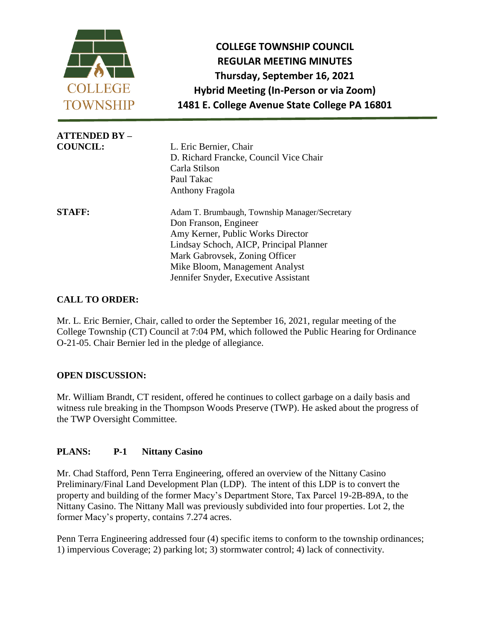

**COLLEGE TOWNSHIP COUNCIL REGULAR MEETING MINUTES Thursday, September 16, 2021 Hybrid Meeting (In-Person or via Zoom) 1481 E. College Avenue State College PA 16801**

| <b>ATTENDED BY -</b> |                                               |
|----------------------|-----------------------------------------------|
| <b>COUNCIL:</b>      | L. Eric Bernier, Chair                        |
|                      | D. Richard Francke, Council Vice Chair        |
|                      | Carla Stilson                                 |
|                      | Paul Takac                                    |
|                      | Anthony Fragola                               |
| <b>STAFF:</b>        | Adam T. Brumbaugh, Township Manager/Secretary |
|                      | Don Franson, Engineer                         |
|                      | Amy Kerner, Public Works Director             |
|                      | Lindsay Schoch, AICP, Principal Planner       |
|                      | Mark Gabrovsek, Zoning Officer                |
|                      | Mike Bloom, Management Analyst                |
|                      | Jennifer Snyder, Executive Assistant          |

# **CALL TO ORDER:**

Mr. L. Eric Bernier, Chair, called to order the September 16, 2021, regular meeting of the College Township (CT) Council at 7:04 PM, which followed the Public Hearing for Ordinance O-21-05. Chair Bernier led in the pledge of allegiance.

# **OPEN DISCUSSION:**

Mr. William Brandt, CT resident, offered he continues to collect garbage on a daily basis and witness rule breaking in the Thompson Woods Preserve (TWP). He asked about the progress of the TWP Oversight Committee.

# **PLANS: P-1 Nittany Casino**

Mr. Chad Stafford, Penn Terra Engineering, offered an overview of the Nittany Casino Preliminary/Final Land Development Plan (LDP). The intent of this LDP is to convert the property and building of the former Macy's Department Store, Tax Parcel 19-2B-89A, to the Nittany Casino. The Nittany Mall was previously subdivided into four properties. Lot 2, the former Macy's property, contains 7.274 acres.

Penn Terra Engineering addressed four (4) specific items to conform to the township ordinances; 1) impervious Coverage; 2) parking lot; 3) stormwater control; 4) lack of connectivity.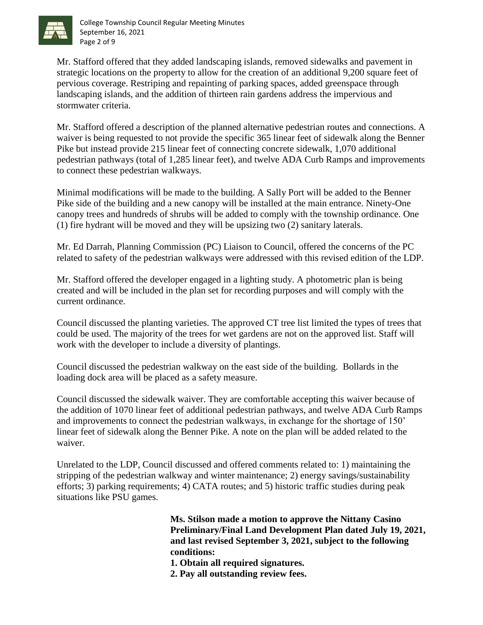

College Township Council Regular Meeting Minutes September 16, 2021 Page 2 of 9

Mr. Stafford offered that they added landscaping islands, removed sidewalks and pavement in strategic locations on the property to allow for the creation of an additional 9,200 square feet of pervious coverage. Restriping and repainting of parking spaces, added greenspace through landscaping islands, and the addition of thirteen rain gardens address the impervious and stormwater criteria.

Mr. Stafford offered a description of the planned alternative pedestrian routes and connections. A waiver is being requested to not provide the specific 365 linear feet of sidewalk along the Benner Pike but instead provide 215 linear feet of connecting concrete sidewalk, 1,070 additional pedestrian pathways (total of 1,285 linear feet), and twelve ADA Curb Ramps and improvements to connect these pedestrian walkways.

Minimal modifications will be made to the building. A Sally Port will be added to the Benner Pike side of the building and a new canopy will be installed at the main entrance. Ninety-One canopy trees and hundreds of shrubs will be added to comply with the township ordinance. One (1) fire hydrant will be moved and they will be upsizing two (2) sanitary laterals.

Mr. Ed Darrah, Planning Commission (PC) Liaison to Council, offered the concerns of the PC related to safety of the pedestrian walkways were addressed with this revised edition of the LDP.

Mr. Stafford offered the developer engaged in a lighting study. A photometric plan is being created and will be included in the plan set for recording purposes and will comply with the current ordinance.

Council discussed the planting varieties. The approved CT tree list limited the types of trees that could be used. The majority of the trees for wet gardens are not on the approved list. Staff will work with the developer to include a diversity of plantings.

Council discussed the pedestrian walkway on the east side of the building. Bollards in the loading dock area will be placed as a safety measure.

Council discussed the sidewalk waiver. They are comfortable accepting this waiver because of the addition of 1070 linear feet of additional pedestrian pathways, and twelve ADA Curb Ramps and improvements to connect the pedestrian walkways, in exchange for the shortage of 150' linear feet of sidewalk along the Benner Pike. A note on the plan will be added related to the waiver.

Unrelated to the LDP, Council discussed and offered comments related to: 1) maintaining the stripping of the pedestrian walkway and winter maintenance; 2) energy savings/sustainability efforts; 3) parking requirements; 4) CATA routes; and 5) historic traffic studies during peak situations like PSU games.

> **Ms. Stilson made a motion to approve the Nittany Casino Preliminary/Final Land Development Plan dated July 19, 2021, and last revised September 3, 2021, subject to the following conditions:**

**1. Obtain all required signatures.**

**2. Pay all outstanding review fees.**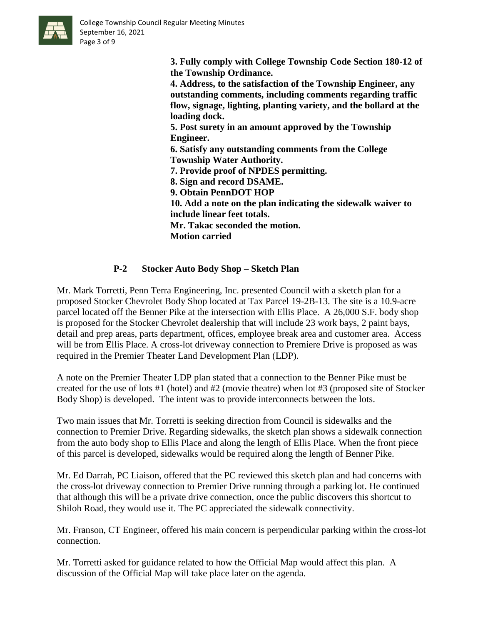

College Township Council Regular Meeting Minutes September 16, 2021 Page 3 of 9

> **3. Fully comply with College Township Code Section 180-12 of the Township Ordinance. 4. Address, to the satisfaction of the Township Engineer, any outstanding comments, including comments regarding traffic flow, signage, lighting, planting variety, and the bollard at the loading dock. 5. Post surety in an amount approved by the Township Engineer. 6. Satisfy any outstanding comments from the College Township Water Authority. 7. Provide proof of NPDES permitting. 8. Sign and record DSAME. 9. Obtain PennDOT HOP 10. Add a note on the plan indicating the sidewalk waiver to**

**include linear feet totals. Mr. Takac seconded the motion.**

**Motion carried** 

# **P-2 Stocker Auto Body Shop – Sketch Plan**

Mr. Mark Torretti, Penn Terra Engineering, Inc. presented Council with a sketch plan for a proposed Stocker Chevrolet Body Shop located at Tax Parcel 19-2B-13. The site is a 10.9-acre parcel located off the Benner Pike at the intersection with Ellis Place. A 26,000 S.F. body shop is proposed for the Stocker Chevrolet dealership that will include 23 work bays, 2 paint bays, detail and prep areas, parts department, offices, employee break area and customer area. Access will be from Ellis Place. A cross-lot driveway connection to Premiere Drive is proposed as was required in the Premier Theater Land Development Plan (LDP).

A note on the Premier Theater LDP plan stated that a connection to the Benner Pike must be created for the use of lots #1 (hotel) and #2 (movie theatre) when lot #3 (proposed site of Stocker Body Shop) is developed. The intent was to provide interconnects between the lots.

Two main issues that Mr. Torretti is seeking direction from Council is sidewalks and the connection to Premier Drive. Regarding sidewalks, the sketch plan shows a sidewalk connection from the auto body shop to Ellis Place and along the length of Ellis Place. When the front piece of this parcel is developed, sidewalks would be required along the length of Benner Pike.

Mr. Ed Darrah, PC Liaison, offered that the PC reviewed this sketch plan and had concerns with the cross-lot driveway connection to Premier Drive running through a parking lot. He continued that although this will be a private drive connection, once the public discovers this shortcut to Shiloh Road, they would use it. The PC appreciated the sidewalk connectivity.

Mr. Franson, CT Engineer, offered his main concern is perpendicular parking within the cross-lot connection.

Mr. Torretti asked for guidance related to how the Official Map would affect this plan. A discussion of the Official Map will take place later on the agenda.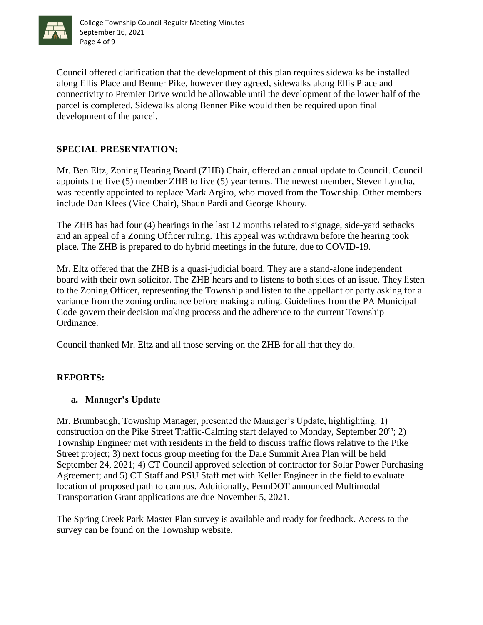

Council offered clarification that the development of this plan requires sidewalks be installed along Ellis Place and Benner Pike, however they agreed, sidewalks along Ellis Place and connectivity to Premier Drive would be allowable until the development of the lower half of the parcel is completed. Sidewalks along Benner Pike would then be required upon final development of the parcel.

# **SPECIAL PRESENTATION:**

Mr. Ben Eltz, Zoning Hearing Board (ZHB) Chair, offered an annual update to Council. Council appoints the five (5) member ZHB to five (5) year terms. The newest member, Steven Lyncha, was recently appointed to replace Mark Argiro, who moved from the Township. Other members include Dan Klees (Vice Chair), Shaun Pardi and George Khoury.

The ZHB has had four (4) hearings in the last 12 months related to signage, side-yard setbacks and an appeal of a Zoning Officer ruling. This appeal was withdrawn before the hearing took place. The ZHB is prepared to do hybrid meetings in the future, due to COVID-19.

Mr. Eltz offered that the ZHB is a quasi-judicial board. They are a stand-alone independent board with their own solicitor. The ZHB hears and to listens to both sides of an issue. They listen to the Zoning Officer, representing the Township and listen to the appellant or party asking for a variance from the zoning ordinance before making a ruling. Guidelines from the PA Municipal Code govern their decision making process and the adherence to the current Township Ordinance.

Council thanked Mr. Eltz and all those serving on the ZHB for all that they do.

# **REPORTS:**

# **a. Manager's Update**

Mr. Brumbaugh, Township Manager, presented the Manager's Update, highlighting: 1) construction on the Pike Street Traffic-Calming start delayed to Monday, September  $20^{th}$ ; 2) Township Engineer met with residents in the field to discuss traffic flows relative to the Pike Street project; 3) next focus group meeting for the Dale Summit Area Plan will be held September 24, 2021; 4) CT Council approved selection of contractor for Solar Power Purchasing Agreement; and 5) CT Staff and PSU Staff met with Keller Engineer in the field to evaluate location of proposed path to campus. Additionally, PennDOT announced Multimodal Transportation Grant applications are due November 5, 2021.

The Spring Creek Park Master Plan survey is available and ready for feedback. Access to the survey can be found on the Township website.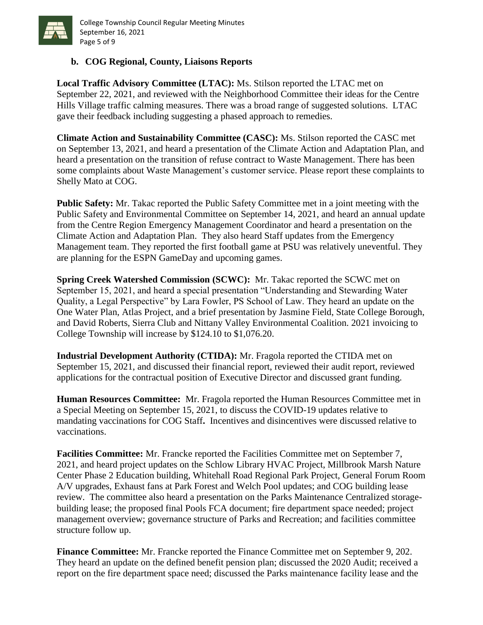

# **b. COG Regional, County, Liaisons Reports**

**Local Traffic Advisory Committee (LTAC):** Ms. Stilson reported the LTAC met on September 22, 2021, and reviewed with the Neighborhood Committee their ideas for the Centre Hills Village traffic calming measures. There was a broad range of suggested solutions. LTAC gave their feedback including suggesting a phased approach to remedies.

**Climate Action and Sustainability Committee (CASC):** Ms. Stilson reported the CASC met on September 13, 2021, and heard a presentation of the Climate Action and Adaptation Plan, and heard a presentation on the transition of refuse contract to Waste Management. There has been some complaints about Waste Management's customer service. Please report these complaints to Shelly Mato at COG.

**Public Safety:** Mr. Takac reported the Public Safety Committee met in a joint meeting with the Public Safety and Environmental Committee on September 14, 2021, and heard an annual update from the Centre Region Emergency Management Coordinator and heard a presentation on the Climate Action and Adaptation Plan. They also heard Staff updates from the Emergency Management team. They reported the first football game at PSU was relatively uneventful. They are planning for the ESPN GameDay and upcoming games.

**Spring Creek Watershed Commission (SCWC):** Mr. Takac reported the SCWC met on September 15, 2021, and heard a special presentation "Understanding and Stewarding Water Quality, a Legal Perspective" by Lara Fowler, PS School of Law. They heard an update on the One Water Plan, Atlas Project, and a brief presentation by Jasmine Field, State College Borough, and David Roberts, Sierra Club and Nittany Valley Environmental Coalition. 2021 invoicing to College Township will increase by \$124.10 to \$1,076.20.

**Industrial Development Authority (CTIDA):** Mr. Fragola reported the CTIDA met on September 15, 2021, and discussed their financial report, reviewed their audit report, reviewed applications for the contractual position of Executive Director and discussed grant funding.

**Human Resources Committee:** Mr. Fragola reported the Human Resources Committee met in a Special Meeting on September 15, 2021, to discuss the COVID-19 updates relative to mandating vaccinations for COG Staff**.** Incentives and disincentives were discussed relative to vaccinations.

**Facilities Committee:** Mr. Francke reported the Facilities Committee met on September 7, 2021, and heard project updates on the Schlow Library HVAC Project, Millbrook Marsh Nature Center Phase 2 Education building, Whitehall Road Regional Park Project, General Forum Room A/V upgrades, Exhaust fans at Park Forest and Welch Pool updates; and COG building lease review. The committee also heard a presentation on the Parks Maintenance Centralized storagebuilding lease; the proposed final Pools FCA document; fire department space needed; project management overview; governance structure of Parks and Recreation; and facilities committee structure follow up.

**Finance Committee:** Mr. Francke reported the Finance Committee met on September 9, 202. They heard an update on the defined benefit pension plan; discussed the 2020 Audit; received a report on the fire department space need; discussed the Parks maintenance facility lease and the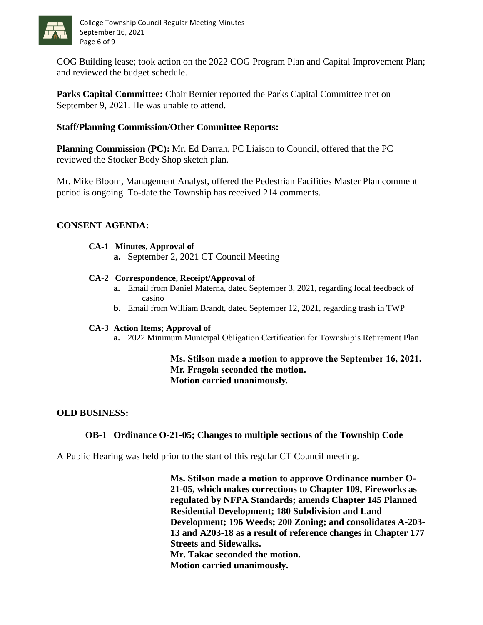

COG Building lease; took action on the 2022 COG Program Plan and Capital Improvement Plan; and reviewed the budget schedule.

**Parks Capital Committee:** Chair Bernier reported the Parks Capital Committee met on September 9, 2021. He was unable to attend.

# **Staff/Planning Commission/Other Committee Reports:**

**Planning Commission (PC):** Mr. Ed Darrah, PC Liaison to Council, offered that the PC reviewed the Stocker Body Shop sketch plan.

Mr. Mike Bloom, Management Analyst, offered the Pedestrian Facilities Master Plan comment period is ongoing. To-date the Township has received 214 comments.

### **CONSENT AGENDA:**

#### **CA-1 Minutes, Approval of**

**a.** September 2, 2021 CT Council Meeting

#### **CA-2 Correspondence, Receipt/Approval of**

- **a.** Email from Daniel Materna, dated September 3, 2021, regarding local feedback of casino
- **b.** Email from William Brandt, dated September 12, 2021, regarding trash in TWP

#### **CA-3 Action Items; Approval of**

**a.** 2022 Minimum Municipal Obligation Certification for Township's Retirement Plan

### **Ms. Stilson made a motion to approve the September 16, 2021. Mr. Fragola seconded the motion. Motion carried unanimously.**

#### **OLD BUSINESS:**

# **OB-1 Ordinance O-21-05; Changes to multiple sections of the Township Code**

A Public Hearing was held prior to the start of this regular CT Council meeting.

**Ms. Stilson made a motion to approve Ordinance number O-21-05, which makes corrections to Chapter 109, Fireworks as regulated by NFPA Standards; amends Chapter 145 Planned Residential Development; 180 Subdivision and Land Development; 196 Weeds; 200 Zoning; and consolidates A-203- 13 and A203-18 as a result of reference changes in Chapter 177 Streets and Sidewalks. Mr. Takac seconded the motion. Motion carried unanimously.**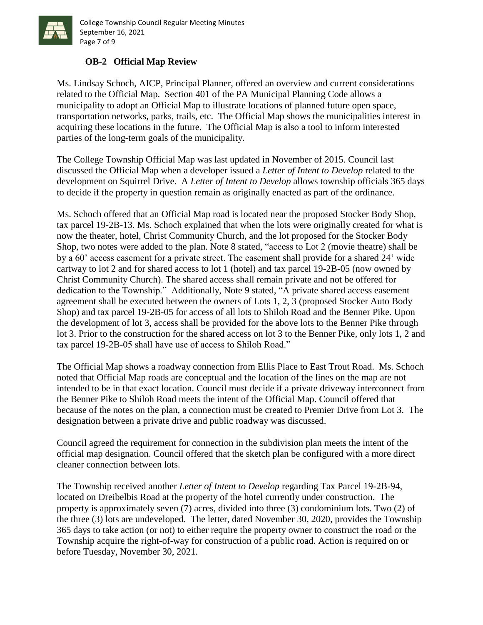

College Township Council Regular Meeting Minutes September 16, 2021 Page 7 of 9

# **OB-2 Official Map Review**

Ms. Lindsay Schoch, AICP, Principal Planner, offered an overview and current considerations related to the Official Map. Section 401 of the PA Municipal Planning Code allows a municipality to adopt an Official Map to illustrate locations of planned future open space, transportation networks, parks, trails, etc. The Official Map shows the municipalities interest in acquiring these locations in the future. The Official Map is also a tool to inform interested parties of the long-term goals of the municipality.

The College Township Official Map was last updated in November of 2015. Council last discussed the Official Map when a developer issued a *Letter of Intent to Develop* related to the development on Squirrel Drive. A *Letter of Intent to Develop* allows township officials 365 days to decide if the property in question remain as originally enacted as part of the ordinance.

Ms. Schoch offered that an Official Map road is located near the proposed Stocker Body Shop, tax parcel 19-2B-13. Ms. Schoch explained that when the lots were originally created for what is now the theater, hotel, Christ Community Church, and the lot proposed for the Stocker Body Shop, two notes were added to the plan. Note 8 stated, "access to Lot 2 (movie theatre) shall be by a 60' access easement for a private street. The easement shall provide for a shared 24' wide cartway to lot 2 and for shared access to lot 1 (hotel) and tax parcel 19-2B-05 (now owned by Christ Community Church). The shared access shall remain private and not be offered for dedication to the Township." Additionally, Note 9 stated, "A private shared access easement agreement shall be executed between the owners of Lots 1, 2, 3 (proposed Stocker Auto Body Shop) and tax parcel 19-2B-05 for access of all lots to Shiloh Road and the Benner Pike. Upon the development of lot 3, access shall be provided for the above lots to the Benner Pike through lot 3. Prior to the construction for the shared access on lot 3 to the Benner Pike, only lots 1, 2 and tax parcel 19-2B-05 shall have use of access to Shiloh Road."

The Official Map shows a roadway connection from Ellis Place to East Trout Road. Ms. Schoch noted that Official Map roads are conceptual and the location of the lines on the map are not intended to be in that exact location. Council must decide if a private driveway interconnect from the Benner Pike to Shiloh Road meets the intent of the Official Map. Council offered that because of the notes on the plan, a connection must be created to Premier Drive from Lot 3. The designation between a private drive and public roadway was discussed.

Council agreed the requirement for connection in the subdivision plan meets the intent of the official map designation. Council offered that the sketch plan be configured with a more direct cleaner connection between lots.

The Township received another *Letter of Intent to Develop* regarding Tax Parcel 19-2B-94, located on Dreibelbis Road at the property of the hotel currently under construction. The property is approximately seven (7) acres, divided into three (3) condominium lots. Two (2) of the three (3) lots are undeveloped. The letter, dated November 30, 2020, provides the Township 365 days to take action (or not) to either require the property owner to construct the road or the Township acquire the right-of-way for construction of a public road. Action is required on or before Tuesday, November 30, 2021.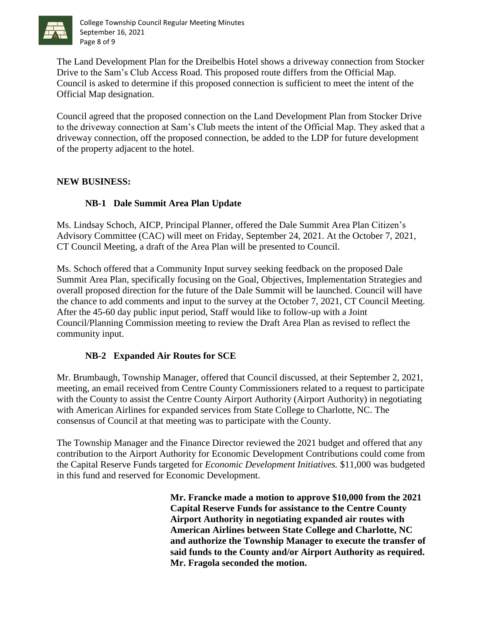

College Township Council Regular Meeting Minutes September 16, 2021 Page 8 of 9

The Land Development Plan for the Dreibelbis Hotel shows a driveway connection from Stocker Drive to the Sam's Club Access Road. This proposed route differs from the Official Map. Council is asked to determine if this proposed connection is sufficient to meet the intent of the Official Map designation.

Council agreed that the proposed connection on the Land Development Plan from Stocker Drive to the driveway connection at Sam's Club meets the intent of the Official Map. They asked that a driveway connection, off the proposed connection, be added to the LDP for future development of the property adjacent to the hotel.

### **NEW BUSINESS:**

# **NB-1 Dale Summit Area Plan Update**

Ms. Lindsay Schoch, AICP, Principal Planner, offered the Dale Summit Area Plan Citizen's Advisory Committee (CAC) will meet on Friday, September 24, 2021. At the October 7, 2021, CT Council Meeting, a draft of the Area Plan will be presented to Council.

Ms. Schoch offered that a Community Input survey seeking feedback on the proposed Dale Summit Area Plan, specifically focusing on the Goal, Objectives, Implementation Strategies and overall proposed direction for the future of the Dale Summit will be launched. Council will have the chance to add comments and input to the survey at the October 7, 2021, CT Council Meeting. After the 45-60 day public input period, Staff would like to follow-up with a Joint Council/Planning Commission meeting to review the Draft Area Plan as revised to reflect the community input.

# **NB-2 Expanded Air Routes for SCE**

Mr. Brumbaugh, Township Manager, offered that Council discussed, at their September 2, 2021, meeting, an email received from Centre County Commissioners related to a request to participate with the County to assist the Centre County Airport Authority (Airport Authority) in negotiating with American Airlines for expanded services from State College to Charlotte, NC. The consensus of Council at that meeting was to participate with the County.

The Township Manager and the Finance Director reviewed the 2021 budget and offered that any contribution to the Airport Authority for Economic Development Contributions could come from the Capital Reserve Funds targeted for *Economic Development Initiatives.* \$11,000 was budgeted in this fund and reserved for Economic Development.

> **Mr. Francke made a motion to approve \$10,000 from the 2021 Capital Reserve Funds for assistance to the Centre County Airport Authority in negotiating expanded air routes with American Airlines between State College and Charlotte, NC and authorize the Township Manager to execute the transfer of said funds to the County and/or Airport Authority as required. Mr. Fragola seconded the motion.**